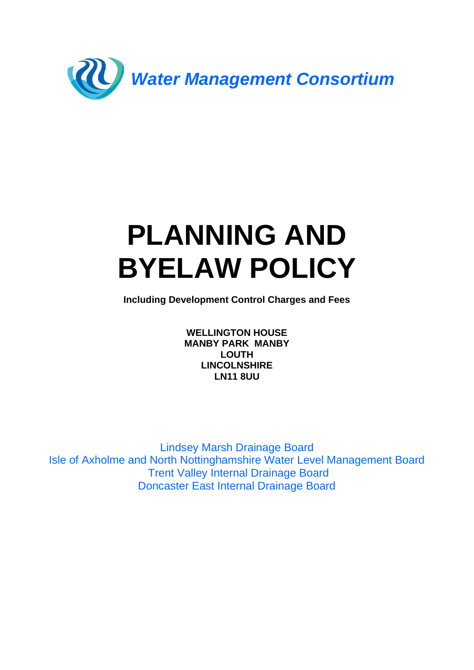

# **PLANNING AND BYELAW POLICY**

**Including Development Control Charges and Fees**

**WELLINGTON HOUSE MANBY PARK MANBY LOUTH LINCOLNSHIRE LN11 8UU**

Lindsey Marsh Drainage Board Isle of Axholme and North Nottinghamshire Water Level Management Board Trent Valley Internal Drainage Board Doncaster East Internal Drainage Board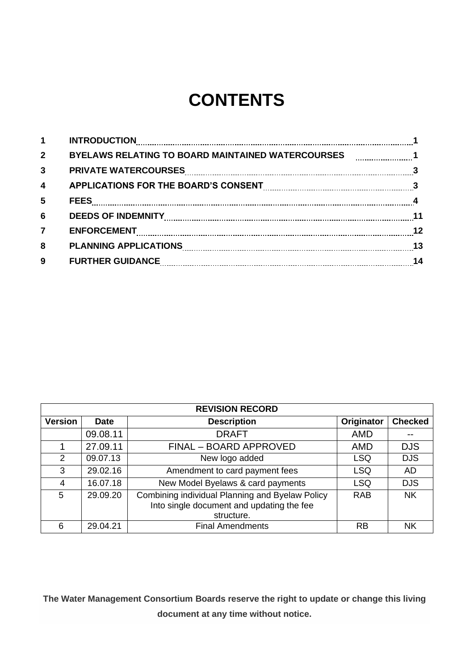# **CONTENTS**

| 2 <sup>2</sup><br>BYELAWS RELATING TO BOARD MAINTAINED WATERCOURSES [  1<br>3<br>$\overline{\mathbf{4}}$<br>APPLICATIONS FOR THE BOARD'S CONSENT [[[[[[[[[[[[[[[[[[[[[]]]]]]]]]]]]]]]<br>5<br>$6\phantom{1}6$<br>ENFORCEMENT 22 2012 12<br>$\overline{7}$ |  |
|-----------------------------------------------------------------------------------------------------------------------------------------------------------------------------------------------------------------------------------------------------------|--|
|                                                                                                                                                                                                                                                           |  |
|                                                                                                                                                                                                                                                           |  |
|                                                                                                                                                                                                                                                           |  |
|                                                                                                                                                                                                                                                           |  |
|                                                                                                                                                                                                                                                           |  |
|                                                                                                                                                                                                                                                           |  |
| 8                                                                                                                                                                                                                                                         |  |
| 9                                                                                                                                                                                                                                                         |  |

| <b>REVISION RECORD</b> |             |                                                                                                            |            |                |
|------------------------|-------------|------------------------------------------------------------------------------------------------------------|------------|----------------|
| <b>Version</b>         | <b>Date</b> | <b>Description</b>                                                                                         | Originator | <b>Checked</b> |
|                        | 09.08.11    | <b>DRAFT</b>                                                                                               | <b>AMD</b> | --             |
|                        | 27.09.11    | FINAL - BOARD APPROVED                                                                                     | AMD        | <b>DJS</b>     |
| 2                      | 09.07.13    | New logo added                                                                                             | <b>LSQ</b> | <b>DJS</b>     |
| 3                      | 29.02.16    | Amendment to card payment fees                                                                             | <b>LSQ</b> | <b>AD</b>      |
| 4                      | 16.07.18    | New Model Byelaws & card payments                                                                          | <b>LSQ</b> | <b>DJS</b>     |
| 5                      | 29.09.20    | Combining individual Planning and Byelaw Policy<br>Into single document and updating the fee<br>structure. | <b>RAB</b> | <b>NK</b>      |
| 6                      | 29.04.21    | <b>Final Amendments</b>                                                                                    | <b>RB</b>  | <b>NK</b>      |

**The Water Management Consortium Boards reserve the right to update or change this living document at any time without notice.**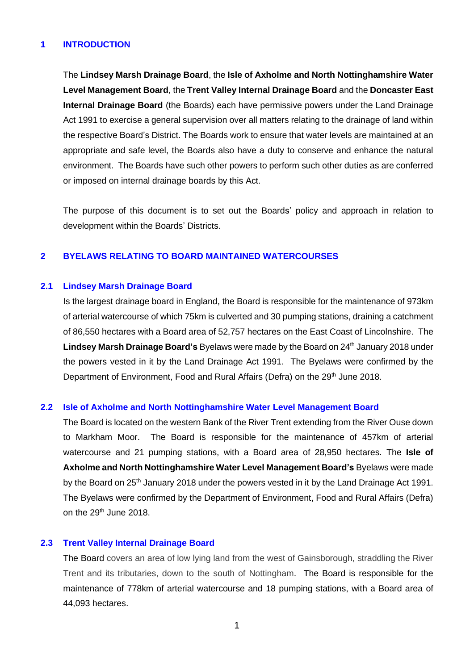# **1 INTRODUCTION**

The **Lindsey Marsh Drainage Board**, the **Isle of Axholme and North Nottinghamshire Water Level Management Board**, the **Trent Valley Internal Drainage Board** and the **Doncaster East Internal Drainage Board** (the Boards) each have permissive powers under the Land Drainage Act 1991 to exercise a general supervision over all matters relating to the drainage of land within the respective Board's District. The Boards work to ensure that water levels are maintained at an appropriate and safe level, the Boards also have a duty to conserve and enhance the natural environment. The Boards have such other powers to perform such other duties as are conferred or imposed on internal drainage boards by this Act.

The purpose of this document is to set out the Boards' policy and approach in relation to development within the Boards' Districts.

#### **2 BYELAWS RELATING TO BOARD MAINTAINED WATERCOURSES**

#### **2.1 Lindsey Marsh Drainage Board**

Is the largest drainage board in England, the Board is responsible for the maintenance of 973km of arterial watercourse of which 75km is culverted and 30 pumping stations, draining a catchment of 86,550 hectares with a Board area of 52,757 hectares on the East Coast of Lincolnshire. The Lindsey Marsh Drainage Board's Byelaws were made by the Board on 24<sup>th</sup> January 2018 under the powers vested in it by the Land Drainage Act 1991. The Byelaws were confirmed by the Department of Environment, Food and Rural Affairs (Defra) on the 29<sup>th</sup> June 2018.

#### **2.2 Isle of Axholme and North Nottinghamshire Water Level Management Board**

The Board is located on the western Bank of the River Trent extending from the River Ouse down to Markham Moor. The Board is responsible for the maintenance of 457km of arterial watercourse and 21 pumping stations, with a Board area of 28,950 hectares. The **Isle of Axholme and North Nottinghamshire Water Level Management Board's** Byelaws were made by the Board on 25<sup>th</sup> January 2018 under the powers vested in it by the Land Drainage Act 1991. The Byelaws were confirmed by the Department of Environment, Food and Rural Affairs (Defra) on the 29<sup>th</sup> June 2018.

#### **2.3 Trent Valley Internal Drainage Board**

The Board covers an area of low lying land from the west of Gainsborough, straddling the River Trent and its tributaries, down to the south of Nottingham. The Board is responsible for the maintenance of 778km of arterial watercourse and 18 pumping stations, with a Board area of 44,093 hectares.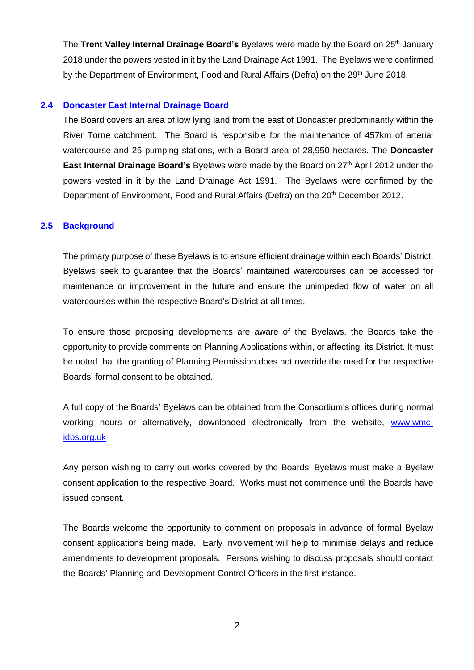The Trent Valley Internal Drainage Board's Byelaws were made by the Board on 25<sup>th</sup> January 2018 under the powers vested in it by the Land Drainage Act 1991. The Byelaws were confirmed by the Department of Environment, Food and Rural Affairs (Defra) on the 29<sup>th</sup> June 2018.

#### **2.4 Doncaster East Internal Drainage Board**

The Board covers an area of low lying land from the east of Doncaster predominantly within the River Torne catchment. The Board is responsible for the maintenance of 457km of arterial watercourse and 25 pumping stations, with a Board area of 28,950 hectares. The **Doncaster East Internal Drainage Board's** Byelaws were made by the Board on 27<sup>th</sup> April 2012 under the powers vested in it by the Land Drainage Act 1991. The Byelaws were confirmed by the Department of Environment, Food and Rural Affairs (Defra) on the 20<sup>th</sup> December 2012.

#### **2.5 Background**

The primary purpose of these Byelaws is to ensure efficient drainage within each Boards' District. Byelaws seek to guarantee that the Boards' maintained watercourses can be accessed for maintenance or improvement in the future and ensure the unimpeded flow of water on all watercourses within the respective Board's District at all times.

To ensure those proposing developments are aware of the Byelaws, the Boards take the opportunity to provide comments on Planning Applications within, or affecting, its District. It must be noted that the granting of Planning Permission does not override the need for the respective Boards' formal consent to be obtained.

A full copy of the Boards' Byelaws can be obtained from the Consortium's offices during normal working hours or alternatively, downloaded electronically from the website, [www.wmc](http://www.wmc-idbs.org.uk/)[idbs.org.uk](http://www.wmc-idbs.org.uk/)

Any person wishing to carry out works covered by the Boards' Byelaws must make a Byelaw consent application to the respective Board. Works must not commence until the Boards have issued consent.

The Boards welcome the opportunity to comment on proposals in advance of formal Byelaw consent applications being made. Early involvement will help to minimise delays and reduce amendments to development proposals. Persons wishing to discuss proposals should contact the Boards' Planning and Development Control Officers in the first instance.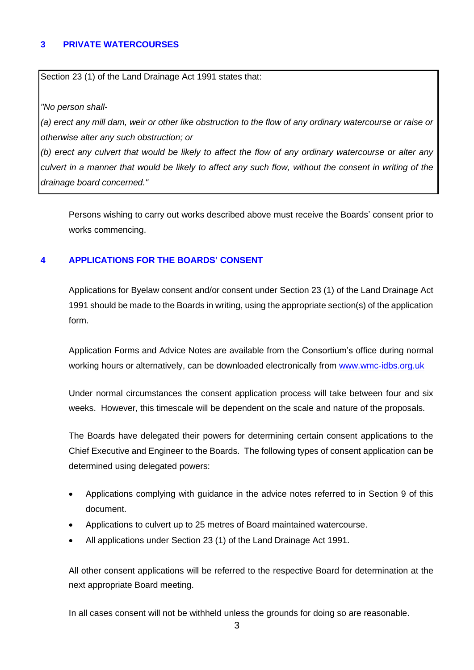# **3 PRIVATE WATERCOURSES**

Section 23 (1) of the Land Drainage Act 1991 states that:

*"No person shall-*

*(a) erect any mill dam, weir or other like obstruction to the flow of any ordinary watercourse or raise or otherwise alter any such obstruction; or*

*(b) erect any culvert that would be likely to affect the flow of any ordinary watercourse or alter any culvert in a manner that would be likely to affect any such flow, without the consent in writing of the drainage board concerned."*

Persons wishing to carry out works described above must receive the Boards' consent prior to works commencing.

# **4 APPLICATIONS FOR THE BOARDS' CONSENT**

Applications for Byelaw consent and/or consent under Section 23 (1) of the Land Drainage Act 1991 should be made to the Boards in writing, using the appropriate section(s) of the application form.

Application Forms and Advice Notes are available from the Consortium's office during normal working hours or alternatively, can be downloaded electronically from [www.wmc-idbs.org.uk](http://www.wmc-idbs.org.uk/)

Under normal circumstances the consent application process will take between four and six weeks. However, this timescale will be dependent on the scale and nature of the proposals.

The Boards have delegated their powers for determining certain consent applications to the Chief Executive and Engineer to the Boards. The following types of consent application can be determined using delegated powers:

- Applications complying with guidance in the advice notes referred to in Section 9 of this document.
- Applications to culvert up to 25 metres of Board maintained watercourse.
- All applications under Section 23 (1) of the Land Drainage Act 1991.

All other consent applications will be referred to the respective Board for determination at the next appropriate Board meeting.

In all cases consent will not be withheld unless the grounds for doing so are reasonable.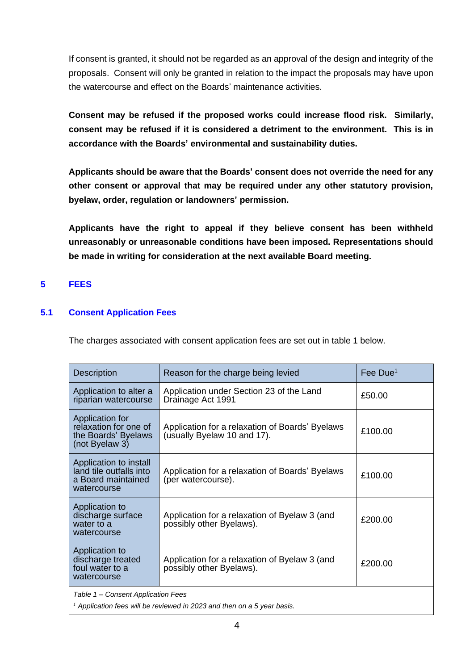If consent is granted, it should not be regarded as an approval of the design and integrity of the proposals. Consent will only be granted in relation to the impact the proposals may have upon the watercourse and effect on the Boards' maintenance activities.

**Consent may be refused if the proposed works could increase flood risk. Similarly, consent may be refused if it is considered a detriment to the environment. This is in accordance with the Boards' environmental and sustainability duties.**

**Applicants should be aware that the Boards' consent does not override the need for any other consent or approval that may be required under any other statutory provision, byelaw, order, regulation or landowners' permission.**

**Applicants have the right to appeal if they believe consent has been withheld unreasonably or unreasonable conditions have been imposed. Representations should be made in writing for consideration at the next available Board meeting.**

# **5 FEES**

# **5.1 Consent Application Fees**

The charges associated with consent application fees are set out in table 1 below.

| <b>Description</b>                                                                                              | Reason for the charge being levied                                             | Fee Due <sup>1</sup> |
|-----------------------------------------------------------------------------------------------------------------|--------------------------------------------------------------------------------|----------------------|
| Application to alter a<br>riparian watercourse                                                                  | Application under Section 23 of the Land<br>Drainage Act 1991                  | £50.00               |
| Application for<br>relaxation for one of<br>the Boards' Byelaws<br>(not Byelaw 3)                               | Application for a relaxation of Boards' Byelaws<br>(usually Byelaw 10 and 17). | £100.00              |
| Application to install<br>land tile outfalls into<br>a Board maintained<br>watercourse                          | Application for a relaxation of Boards' Byelaws<br>(per watercourse).          | £100.00              |
| Application to<br>discharge surface<br>water to a<br>watercourse                                                | Application for a relaxation of Byelaw 3 (and<br>possibly other Byelaws).      | £200.00              |
| Application to<br>discharge treated<br>foul water to a<br>watercourse                                           | Application for a relaxation of Byelaw 3 (and<br>possibly other Byelaws).      | £200.00              |
| Table 1 – Consent Application Fees<br>$1$ Application fees will be reviewed in 2023 and then on a 5 year basis. |                                                                                |                      |

4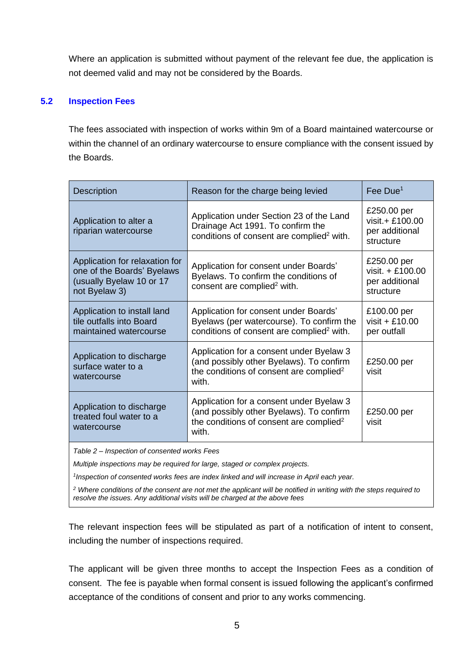Where an application is submitted without payment of the relevant fee due, the application is not deemed valid and may not be considered by the Boards.

# **5.2 Inspection Fees**

The fees associated with inspection of works within 9m of a Board maintained watercourse or within the channel of an ordinary watercourse to ensure compliance with the consent issued by the Boards.

| Description                                                                                               | Reason for the charge being levied                                                                                                                   | Fee Due <sup>1</sup>                                           |  |
|-----------------------------------------------------------------------------------------------------------|------------------------------------------------------------------------------------------------------------------------------------------------------|----------------------------------------------------------------|--|
| Application to alter a<br>riparian watercourse                                                            | Application under Section 23 of the Land<br>Drainage Act 1991. To confirm the<br>conditions of consent are complied <sup>2</sup> with.               | £250.00 per<br>visit.+ £100.00<br>per additional<br>structure  |  |
| Application for relaxation for<br>one of the Boards' Byelaws<br>(usually Byelaw 10 or 17<br>not Byelaw 3) | Application for consent under Boards'<br>Byelaws. To confirm the conditions of<br>consent are complied <sup>2</sup> with.                            | £250.00 per<br>visit. + £100.00<br>per additional<br>structure |  |
| Application to install land<br>tile outfalls into Board<br>maintained watercourse                         | Application for consent under Boards'<br>Byelaws (per watercourse). To confirm the<br>conditions of consent are complied <sup>2</sup> with.          | £100.00 per<br>visit + $£10.00$<br>per outfall                 |  |
| Application to discharge<br>surface water to a<br>watercourse                                             | Application for a consent under Byelaw 3<br>(and possibly other Byelaws). To confirm<br>the conditions of consent are complied <sup>2</sup><br>with. | £250.00 per<br>visit                                           |  |
| Application to discharge<br>treated foul water to a<br>watercourse                                        | Application for a consent under Byelaw 3<br>(and possibly other Byelaws). To confirm<br>the conditions of consent are complied <sup>2</sup><br>with. | £250.00 per<br>visit                                           |  |
| Table 2 Increation of consented works Esse                                                                |                                                                                                                                                      |                                                                |  |

*Table 2 – Inspection of consented works Fees*

*Multiple inspections may be required for large, staged or complex projects.*

*1 Inspection of consented works fees are index linked and will increase in April each year.*

*<sup>2</sup> Where conditions of the consent are not met the applicant will be notified in writing with the steps required to resolve the issues. Any additional visits will be charged at the above fees*

The relevant inspection fees will be stipulated as part of a notification of intent to consent, including the number of inspections required.

The applicant will be given three months to accept the Inspection Fees as a condition of consent. The fee is payable when formal consent is issued following the applicant's confirmed acceptance of the conditions of consent and prior to any works commencing.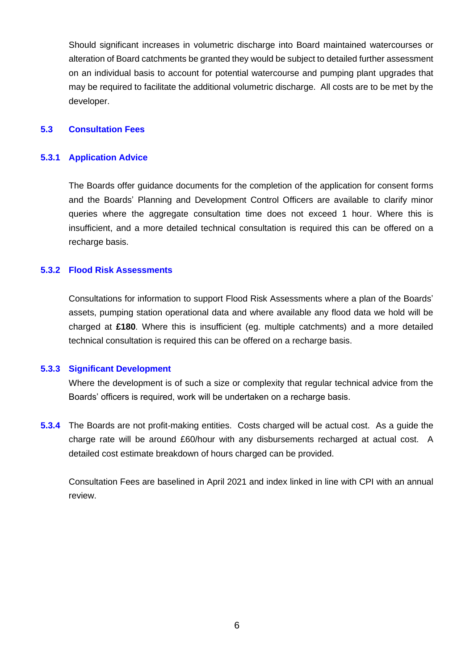Should significant increases in volumetric discharge into Board maintained watercourses or alteration of Board catchments be granted they would be subject to detailed further assessment on an individual basis to account for potential watercourse and pumping plant upgrades that may be required to facilitate the additional volumetric discharge. All costs are to be met by the developer.

#### **5.3 Consultation Fees**

#### **5.3.1 Application Advice**

The Boards offer guidance documents for the completion of the application for consent forms and the Boards' Planning and Development Control Officers are available to clarify minor queries where the aggregate consultation time does not exceed 1 hour. Where this is insufficient, and a more detailed technical consultation is required this can be offered on a recharge basis.

#### **5.3.2 Flood Risk Assessments**

Consultations for information to support Flood Risk Assessments where a plan of the Boards' assets, pumping station operational data and where available any flood data we hold will be charged at **£180**. Where this is insufficient (eg. multiple catchments) and a more detailed technical consultation is required this can be offered on a recharge basis.

#### **5.3.3 Significant Development**

Where the development is of such a size or complexity that regular technical advice from the Boards' officers is required, work will be undertaken on a recharge basis.

**5.3.4** The Boards are not profit-making entities. Costs charged will be actual cost. As a guide the charge rate will be around £60/hour with any disbursements recharged at actual cost. A detailed cost estimate breakdown of hours charged can be provided.

Consultation Fees are baselined in April 2021 and index linked in line with CPI with an annual review.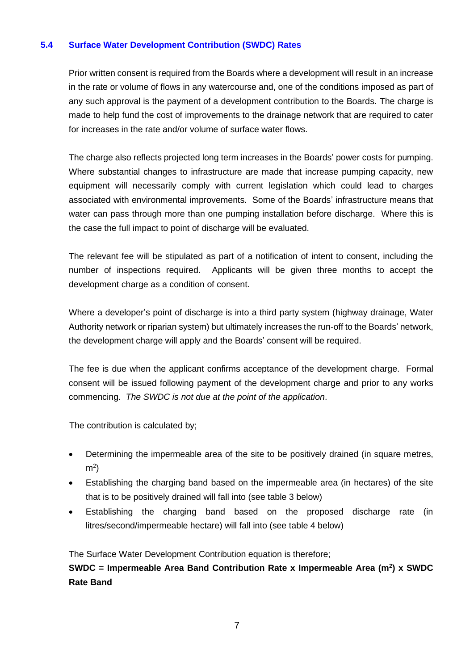# **5.4 Surface Water Development Contribution (SWDC) Rates**

Prior written consent is required from the Boards where a development will result in an increase in the rate or volume of flows in any watercourse and, one of the conditions imposed as part of any such approval is the payment of a development contribution to the Boards. The charge is made to help fund the cost of improvements to the drainage network that are required to cater for increases in the rate and/or volume of surface water flows.

The charge also reflects projected long term increases in the Boards' power costs for pumping. Where substantial changes to infrastructure are made that increase pumping capacity, new equipment will necessarily comply with current legislation which could lead to charges associated with environmental improvements. Some of the Boards' infrastructure means that water can pass through more than one pumping installation before discharge. Where this is the case the full impact to point of discharge will be evaluated.

The relevant fee will be stipulated as part of a notification of intent to consent, including the number of inspections required. Applicants will be given three months to accept the development charge as a condition of consent.

Where a developer's point of discharge is into a third party system (highway drainage, Water Authority network or riparian system) but ultimately increases the run-off to the Boards' network, the development charge will apply and the Boards' consent will be required.

The fee is due when the applicant confirms acceptance of the development charge. Formal consent will be issued following payment of the development charge and prior to any works commencing. *The SWDC is not due at the point of the application*.

The contribution is calculated by;

- Determining the impermeable area of the site to be positively drained (in square metres,  $m<sup>2</sup>$
- Establishing the charging band based on the impermeable area (in hectares) of the site that is to be positively drained will fall into (see table 3 below)
- Establishing the charging band based on the proposed discharge rate (in litres/second/impermeable hectare) will fall into (see table 4 below)

The Surface Water Development Contribution equation is therefore;

**SWDC = Impermeable Area Band Contribution Rate x Impermeable Area (m<sup>2</sup> ) x SWDC Rate Band**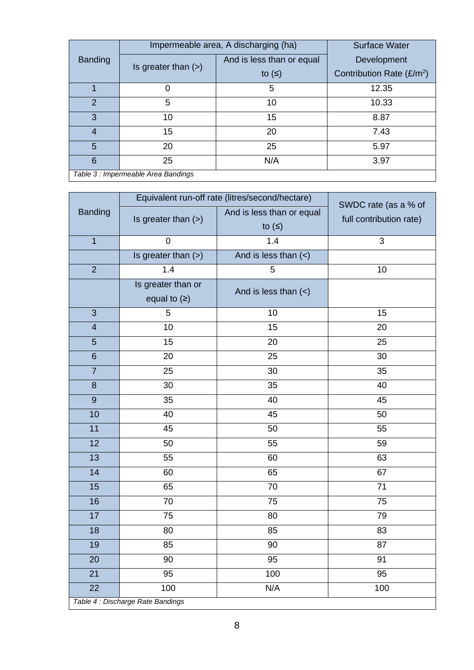|                                     | Impermeable area, A discharging (ha) |                           | <b>Surface Water</b>        |
|-------------------------------------|--------------------------------------|---------------------------|-----------------------------|
| <b>Banding</b>                      | Is greater than $(>)$                | And is less than or equal | Development                 |
|                                     |                                      | to $($                    | Contribution Rate $(E/m^2)$ |
|                                     | 0                                    | 5                         | 12.35                       |
| $\mathcal{P}$                       | 5                                    | 10                        | 10.33                       |
| 3                                   | 10                                   | 15                        | 8.87                        |
| 4                                   | 15                                   | 20                        | 7.43                        |
| 5                                   | 20                                   | 25                        | 5.97                        |
| 6                                   | 25                                   | N/A                       | 3.97                        |
| Table 3 : Impermeable Area Bandings |                                      |                           |                             |

|                                   | Equivalent run-off rate (litres/second/hectare) |                                     |                                                 |  |
|-----------------------------------|-------------------------------------------------|-------------------------------------|-------------------------------------------------|--|
| <b>Banding</b>                    | Is greater than $(>)$                           | And is less than or equal<br>to $($ | SWDC rate (as a % of<br>full contribution rate) |  |
| $\overline{1}$                    | $\mathbf 0$                                     | 1.4                                 | 3                                               |  |
|                                   | Is greater than (>)                             | And is less than $($                |                                                 |  |
| $\overline{2}$                    | 1.4                                             | 5                                   | 10                                              |  |
|                                   | Is greater than or                              | And is less than $(\le)$            |                                                 |  |
|                                   | equal to $( \geq )$                             |                                     |                                                 |  |
| 3                                 | 5                                               | 10                                  | 15                                              |  |
| $\overline{\mathbf{4}}$           | 10                                              | 15                                  | 20                                              |  |
| $\overline{5}$                    | 15                                              | 20                                  | 25                                              |  |
| $6\phantom{1}$                    | 20                                              | 25                                  | 30                                              |  |
| $\overline{7}$                    | 25                                              | 30                                  | 35                                              |  |
| $\boldsymbol{8}$                  | 30                                              | 35                                  | 40                                              |  |
| $\boldsymbol{9}$                  | 35                                              | 40                                  | 45                                              |  |
| 10                                | 40                                              | 45                                  | 50                                              |  |
| 11                                | 45                                              | 50                                  | 55                                              |  |
| 12                                | 50                                              | 55                                  | 59                                              |  |
| 13                                | 55                                              | 60                                  | 63                                              |  |
| 14                                | 60                                              | 65                                  | 67                                              |  |
| 15                                | 65                                              | 70                                  | 71                                              |  |
| 16                                | 70                                              | 75                                  | 75                                              |  |
| 17                                | 75                                              | 80                                  | 79                                              |  |
| 18                                | 80                                              | 85                                  | 83                                              |  |
| 19                                | 85                                              | 90                                  | 87                                              |  |
| 20                                | 90                                              | 95                                  | 91                                              |  |
| 21                                | 95                                              | 100                                 | 95                                              |  |
| 22                                | 100                                             | N/A                                 | 100                                             |  |
| Table 4 : Discharge Rate Bandings |                                                 |                                     |                                                 |  |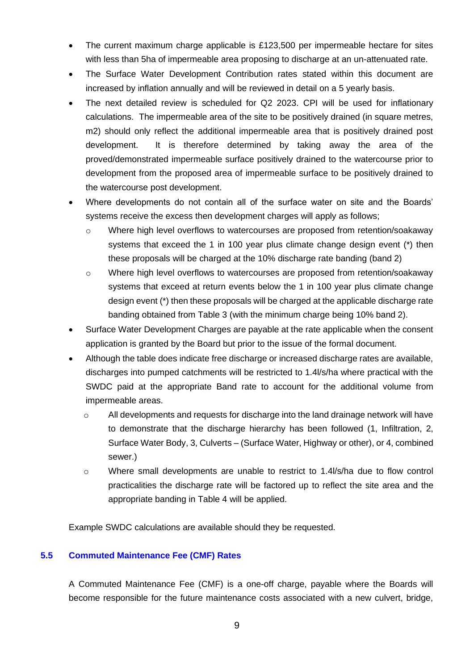- The current maximum charge applicable is £123,500 per impermeable hectare for sites with less than 5ha of impermeable area proposing to discharge at an un-attenuated rate.
- The Surface Water Development Contribution rates stated within this document are increased by inflation annually and will be reviewed in detail on a 5 yearly basis.
- The next detailed review is scheduled for Q2 2023. CPI will be used for inflationary calculations. The impermeable area of the site to be positively drained (in square metres, m2) should only reflect the additional impermeable area that is positively drained post development. It is therefore determined by taking away the area of the proved/demonstrated impermeable surface positively drained to the watercourse prior to development from the proposed area of impermeable surface to be positively drained to the watercourse post development.
- Where developments do not contain all of the surface water on site and the Boards' systems receive the excess then development charges will apply as follows;
	- o Where high level overflows to watercourses are proposed from retention/soakaway systems that exceed the 1 in 100 year plus climate change design event (\*) then these proposals will be charged at the 10% discharge rate banding (band 2)
	- o Where high level overflows to watercourses are proposed from retention/soakaway systems that exceed at return events below the 1 in 100 year plus climate change design event (\*) then these proposals will be charged at the applicable discharge rate banding obtained from Table 3 (with the minimum charge being 10% band 2).
- Surface Water Development Charges are payable at the rate applicable when the consent application is granted by the Board but prior to the issue of the formal document.
- Although the table does indicate free discharge or increased discharge rates are available, discharges into pumped catchments will be restricted to 1.4l/s/ha where practical with the SWDC paid at the appropriate Band rate to account for the additional volume from impermeable areas.
	- o All developments and requests for discharge into the land drainage network will have to demonstrate that the discharge hierarchy has been followed (1, Infiltration, 2, Surface Water Body, 3, Culverts – (Surface Water, Highway or other), or 4, combined sewer.)
	- $\circ$  Where small developments are unable to restrict to 1.4l/s/ha due to flow control practicalities the discharge rate will be factored up to reflect the site area and the appropriate banding in Table 4 will be applied.

Example SWDC calculations are available should they be requested.

# **5.5 Commuted Maintenance Fee (CMF) Rates**

A Commuted Maintenance Fee (CMF) is a one-off charge, payable where the Boards will become responsible for the future maintenance costs associated with a new culvert, bridge,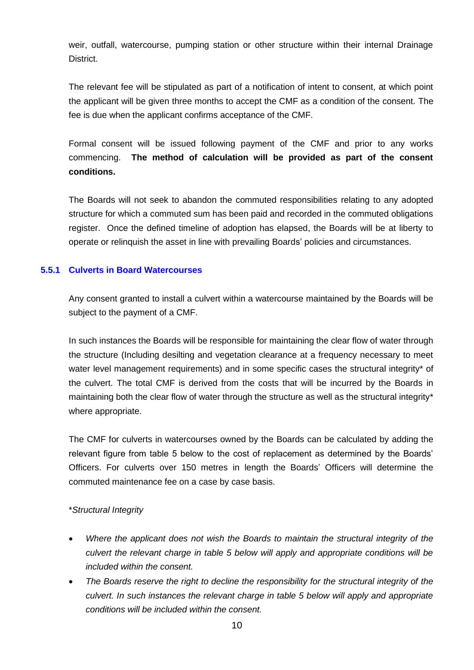weir, outfall, watercourse, pumping station or other structure within their internal Drainage District.

The relevant fee will be stipulated as part of a notification of intent to consent, at which point the applicant will be given three months to accept the CMF as a condition of the consent. The fee is due when the applicant confirms acceptance of the CMF.

Formal consent will be issued following payment of the CMF and prior to any works commencing. **The method of calculation will be provided as part of the consent conditions.**

The Boards will not seek to abandon the commuted responsibilities relating to any adopted structure for which a commuted sum has been paid and recorded in the commuted obligations register. Once the defined timeline of adoption has elapsed, the Boards will be at liberty to operate or relinquish the asset in line with prevailing Boards' policies and circumstances.

# **5.5.1 Culverts in Board Watercourses**

Any consent granted to install a culvert within a watercourse maintained by the Boards will be subject to the payment of a CMF.

In such instances the Boards will be responsible for maintaining the clear flow of water through the structure (Including desilting and vegetation clearance at a frequency necessary to meet water level management requirements) and in some specific cases the structural integrity\* of the culvert. The total CMF is derived from the costs that will be incurred by the Boards in maintaining both the clear flow of water through the structure as well as the structural integrity\* where appropriate.

The CMF for culverts in watercourses owned by the Boards can be calculated by adding the relevant figure from table 5 below to the cost of replacement as determined by the Boards' Officers. For culverts over 150 metres in length the Boards' Officers will determine the commuted maintenance fee on a case by case basis.

#### \**Structural Integrity*

- *Where the applicant does not wish the Boards to maintain the structural integrity of the culvert the relevant charge in table 5 below will apply and appropriate conditions will be included within the consent.*
- *The Boards reserve the right to decline the responsibility for the structural integrity of the culvert. In such instances the relevant charge in table 5 below will apply and appropriate conditions will be included within the consent.*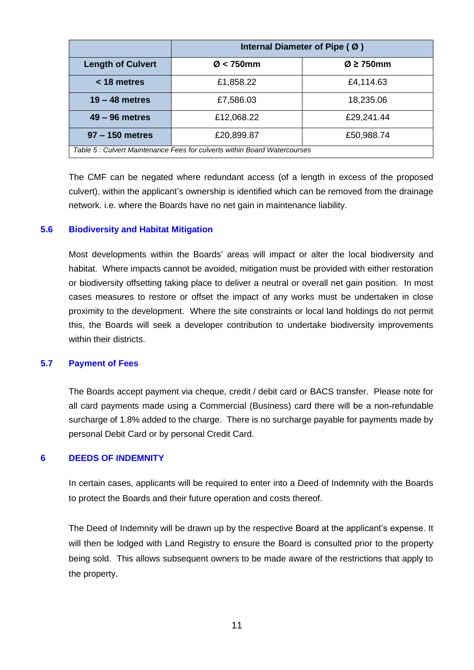|                                                                          | Internal Diameter of Pipe (Ø) |                            |
|--------------------------------------------------------------------------|-------------------------------|----------------------------|
| <b>Length of Culvert</b>                                                 | $\varnothing$ < 750mm         | $\varnothing$ $\geq$ 750mm |
| < 18 metres                                                              | £1,858.22                     | £4,114.63                  |
| $19 - 48$ metres                                                         | £7,586.03                     | 18,235.06                  |
| $49 - 96$ metres                                                         | £12,068.22                    | £29,241.44                 |
| 97 - 150 metres                                                          | £20,899.87                    | £50,988.74                 |
| Table 5: Culvert Maintenance Fees for culverts within Board Watercourses |                               |                            |

The CMF can be negated where redundant access (of a length in excess of the proposed culvert), within the applicant's ownership is identified which can be removed from the drainage network. i.e. where the Boards have no net gain in maintenance liability.

#### **5.6 Biodiversity and Habitat Mitigation**

Most developments within the Boards' areas will impact or alter the local biodiversity and habitat. Where impacts cannot be avoided, mitigation must be provided with either restoration or biodiversity offsetting taking place to deliver a neutral or overall net gain position. In most cases measures to restore or offset the impact of any works must be undertaken in close proximity to the development. Where the site constraints or local land holdings do not permit this, the Boards will seek a developer contribution to undertake biodiversity improvements within their districts.

#### **5.7 Payment of Fees**

The Boards accept payment via cheque, credit / debit card or BACS transfer. Please note for all card payments made using a Commercial (Business) card there will be a non-refundable surcharge of 1.8% added to the charge. There is no surcharge payable for payments made by personal Debit Card or by personal Credit Card.

#### **6 DEEDS OF INDEMNITY**

In certain cases, applicants will be required to enter into a Deed of Indemnity with the Boards to protect the Boards and their future operation and costs thereof.

The Deed of Indemnity will be drawn up by the respective Board at the applicant's expense. It will then be lodged with Land Registry to ensure the Board is consulted prior to the property being sold. This allows subsequent owners to be made aware of the restrictions that apply to the property.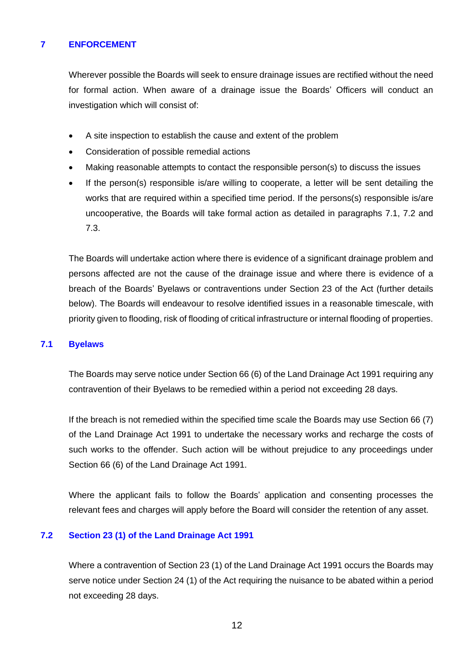# **7 ENFORCEMENT**

Wherever possible the Boards will seek to ensure drainage issues are rectified without the need for formal action. When aware of a drainage issue the Boards' Officers will conduct an investigation which will consist of:

- A site inspection to establish the cause and extent of the problem
- Consideration of possible remedial actions
- Making reasonable attempts to contact the responsible person(s) to discuss the issues
- If the person(s) responsible is/are willing to cooperate, a letter will be sent detailing the works that are required within a specified time period. If the persons(s) responsible is/are uncooperative, the Boards will take formal action as detailed in paragraphs 7.1, 7.2 and 7.3.

The Boards will undertake action where there is evidence of a significant drainage problem and persons affected are not the cause of the drainage issue and where there is evidence of a breach of the Boards' Byelaws or contraventions under Section 23 of the Act (further details below). The Boards will endeavour to resolve identified issues in a reasonable timescale, with priority given to flooding, risk of flooding of critical infrastructure or internal flooding of properties.

#### **7.1 Byelaws**

The Boards may serve notice under Section 66 (6) of the Land Drainage Act 1991 requiring any contravention of their Byelaws to be remedied within a period not exceeding 28 days.

If the breach is not remedied within the specified time scale the Boards may use Section 66 (7) of the Land Drainage Act 1991 to undertake the necessary works and recharge the costs of such works to the offender. Such action will be without prejudice to any proceedings under Section 66 (6) of the Land Drainage Act 1991.

Where the applicant fails to follow the Boards' application and consenting processes the relevant fees and charges will apply before the Board will consider the retention of any asset.

## **7.2 Section 23 (1) of the Land Drainage Act 1991**

Where a contravention of Section 23 (1) of the Land Drainage Act 1991 occurs the Boards may serve notice under Section 24 (1) of the Act requiring the nuisance to be abated within a period not exceeding 28 days.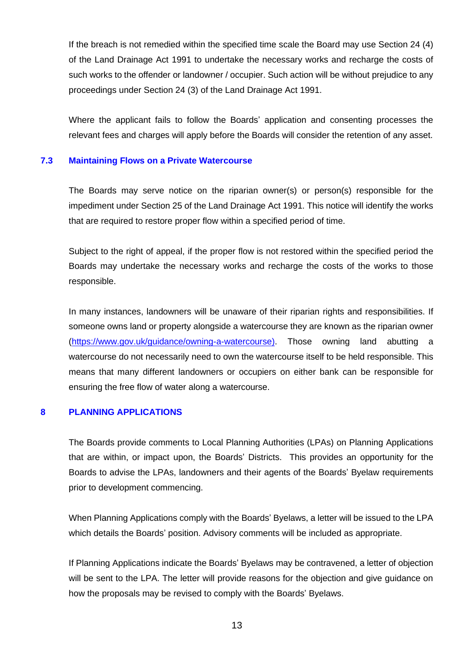If the breach is not remedied within the specified time scale the Board may use Section 24 (4) of the Land Drainage Act 1991 to undertake the necessary works and recharge the costs of such works to the offender or landowner / occupier. Such action will be without prejudice to any proceedings under Section 24 (3) of the Land Drainage Act 1991.

Where the applicant fails to follow the Boards' application and consenting processes the relevant fees and charges will apply before the Boards will consider the retention of any asset.

#### **7.3 Maintaining Flows on a Private Watercourse**

The Boards may serve notice on the riparian owner(s) or person(s) responsible for the impediment under Section 25 of the Land Drainage Act 1991. This notice will identify the works that are required to restore proper flow within a specified period of time.

Subject to the right of appeal, if the proper flow is not restored within the specified period the Boards may undertake the necessary works and recharge the costs of the works to those responsible.

In many instances, landowners will be unaware of their riparian rights and responsibilities. If someone owns land or property alongside a watercourse they are known as the riparian owner [\(https://www.gov.uk/guidance/owning-a-watercourse\)](https://www.gov.uk/guidance/owning-a-watercourse). Those owning land abutting a watercourse do not necessarily need to own the watercourse itself to be held responsible. This means that many different landowners or occupiers on either bank can be responsible for ensuring the free flow of water along a watercourse.

# **8 PLANNING APPLICATIONS**

The Boards provide comments to Local Planning Authorities (LPAs) on Planning Applications that are within, or impact upon, the Boards' Districts. This provides an opportunity for the Boards to advise the LPAs, landowners and their agents of the Boards' Byelaw requirements prior to development commencing.

When Planning Applications comply with the Boards' Byelaws, a letter will be issued to the LPA which details the Boards' position. Advisory comments will be included as appropriate.

If Planning Applications indicate the Boards' Byelaws may be contravened, a letter of objection will be sent to the LPA. The letter will provide reasons for the objection and give guidance on how the proposals may be revised to comply with the Boards' Byelaws.